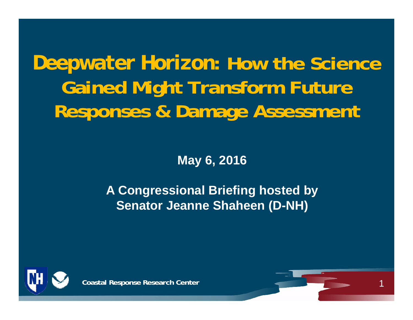# *Deepwater Horizon***: How the Science Gained Might Transform Future Responses & Damage Assessment**

**May 6, 2016**

**A Congressional Briefing hosted by Senator Jeanne Shaheen (D-NH)**



**Coastal Response Research Center**

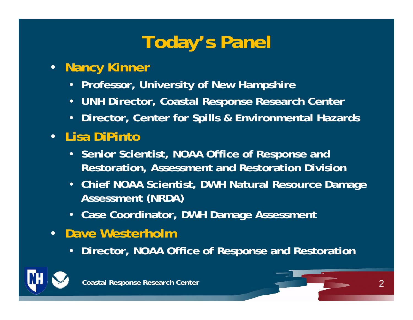## **Today's Panel**

#### • **Nancy Kinner**

- **Professor, University of New Hampshire**
- **UNH Director, Coastal Response Research Center**
- **Director, Center for Spills & Environmental Hazards**
- **Lisa DiPinto**
	- **Senior Scientist, NOAA Office of Response and Restoration, Assessment and Restoration Division**
	- **Chief NOAA Scientist, DWH Natural Resource Damage Assessment (NRDA)**
	- **Case Coordinator, DWH Damage Assessment**
- **Dave Westerholm**
	- **Director, NOAA Office of Response and Restoration**



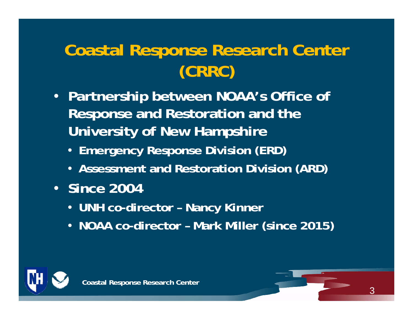### **Coastal Response Research Center (CRRC)**

- **Partnership between NOAA's Office of Response and Restoration and the University of New Hampshire**
	- **Emergency Response Division (ERD)**
	- **Assessment and Restoration Division (ARD)**
- **Since 2004**
	- **UNH co-director – Nancy Kinner**
	- **NOAA co-director – Mark Miller (since 2015)**



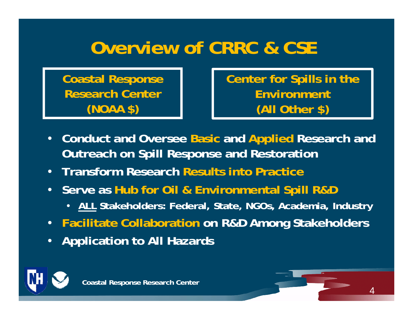### **Overview of CRRC & CSE**

**Coastal Response Research Center (NOAA \$)**

**Center for Spills in the Environment (All Other \$)**

- **Conduct and Oversee Basic and Applied Research and Outreach on Spill Response and Restoration**
- **Transform Research Results into Practice**
- **Serve as Hub for Oil & Environmental Spill R&D** 
	- **ALL Stakeholders: Federal, State, NGOs, Academia, Industry**
- **Facilitate Collaboration on R&D Among Stakeholders**
- **Application to All Hazards**



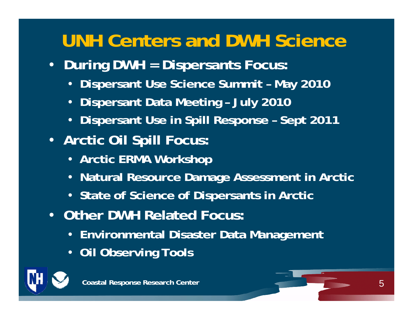## **UNH Centers and DWH Science**

- **During DWH = Dispersants Focus:**
	- **Dispersant Use Science Summit – May 2010**
	- •**Dispersant Data Meeting – July 2010**
	- •**Dispersant Use in Spill Response – Sept 2011**
- **Arctic Oil Spill Focus:**
	- **Arctic ERMA Workshop**
	- **Natural Resource Damage Assessment in Arctic**
	- **State of Science of Dispersants in Arctic**
- **Other DWH Related Focus:**
	- **Environmental Disaster Data Management**
	- **Oil Observing Tools**



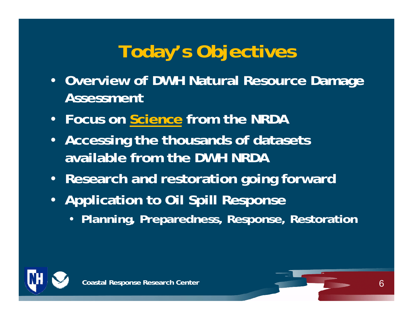# **Today's Objectives**

- **Overview of DWH Natural Resource Damage Assessment**
- **Focus on Science from the NRDA**
- **Accessing the thousands of datasets available from the DWH NRDA**
- **Research and restoration going forward**
- **Application to Oil Spill Response**
	- **Planning, Preparedness, Response, Restoration**



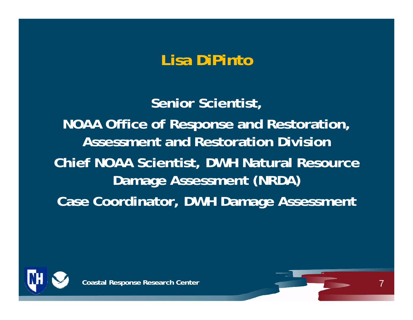### **Lisa DiPinto**

**Senior Scientist, NOAA Office of Response and Restoration, Assessment and Restoration DivisionChief NOAA Scientist, DWH Natural Resource Damage Assessment (NRDA) Case Coordinator, DWH Damage Assessment**



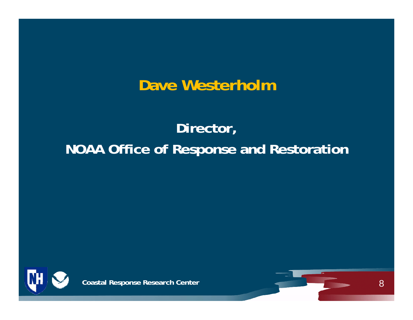#### **Dave Westerholm**

### **Director, NOAA Office of Response and Restoration**



**Coastal Response Research Center**

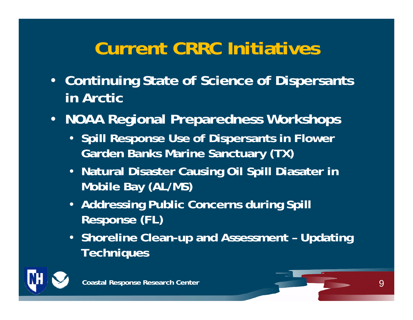## **Current CRRC Initiatives**

- **Continuing State of Science of Dispersants in Arctic**
- **NOAA Regional Preparedness Workshops**
	- **Spill Response Use of Dispersants in Flower Garden Banks Marine Sanctuary (TX)**
	- **Natural Disaster Causing Oil Spill Diasater in Mobile Bay (AL/MS)**
	- **Addressing Public Concerns during Spill Response (FL)**
	- **Shoreline Clean-up and Assessment – Updating Techniques**